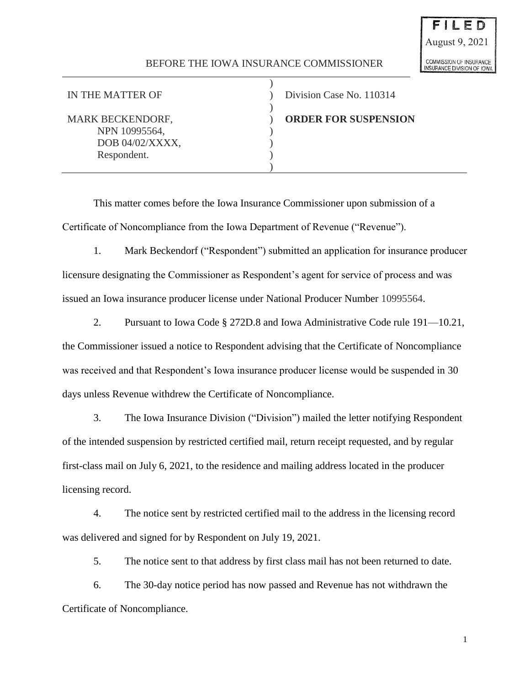## BEFORE THE IOWA INSURANCE COMMISSIONER

)

)

)

NPN 10995564, DOB 04/02/XXXX, Respondent.

IN THE MATTER OF  $\qquad \qquad$  ) Division Case No. 110314

MARK BECKENDORF, ) **ORDER FOR SUSPENSION**

This matter comes before the Iowa Insurance Commissioner upon submission of a Certificate of Noncompliance from the Iowa Department of Revenue ("Revenue").

1. Mark Beckendorf ("Respondent") submitted an application for insurance producer licensure designating the Commissioner as Respondent's agent for service of process and was issued an Iowa insurance producer license under National Producer Number 10995564.

2. Pursuant to Iowa Code § 272D.8 and Iowa Administrative Code rule 191—10.21, the Commissioner issued a notice to Respondent advising that the Certificate of Noncompliance was received and that Respondent's Iowa insurance producer license would be suspended in 30 days unless Revenue withdrew the Certificate of Noncompliance.

3. The Iowa Insurance Division ("Division") mailed the letter notifying Respondent of the intended suspension by restricted certified mail, return receipt requested, and by regular first-class mail on July 6, 2021, to the residence and mailing address located in the producer licensing record.

4. The notice sent by restricted certified mail to the address in the licensing record was delivered and signed for by Respondent on July 19, 2021.

5. The notice sent to that address by first class mail has not been returned to date.

6. The 30-day notice period has now passed and Revenue has not withdrawn the Certificate of Noncompliance.

1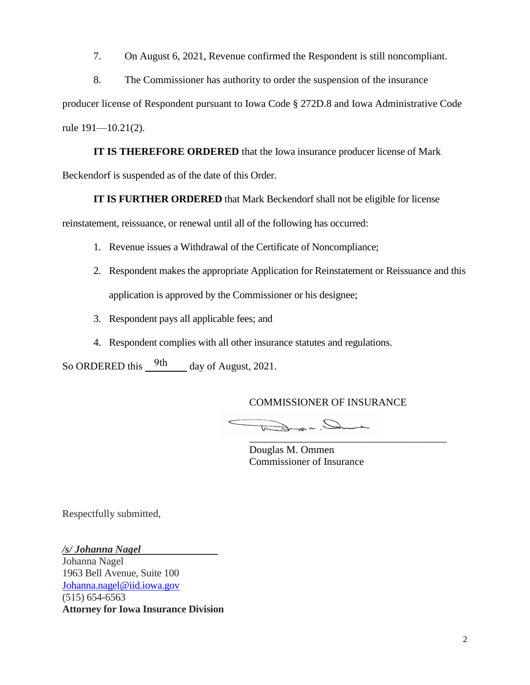7. On August 6, 2021, Revenue confirmed the Respondent is still noncompliant.

8. The Commissioner has authority to order the suspension of the insurance

producer license of Respondent pursuant to Iowa Code § 272D.8 and Iowa Administrative Code rule 191—10.21(2).

**IT IS THEREFORE ORDERED** that the Iowa insurance producer license of Mark Beckendorf is suspended as of the date of this Order.

**IT IS FURTHER ORDERED** that Mark Beckendorf shall not be eligible for license

reinstatement, reissuance, or renewal until all of the following has occurred:

- 1. Revenue issues a Withdrawal of the Certificate of Noncompliance;
- 2. Respondent makes the appropriate Application for Reinstatement or Reissuance and this application is approved by the Commissioner or his designee;
- 3. Respondent pays all applicable fees; and
- 4. Respondent complies with all other insurance statutes and regulations.

So ORDERED this  $\frac{9th}{100}$  day of August, 2021.

COMMISSIONER OF INSURANCE

Dradat \_\_\_\_\_\_\_\_\_\_\_\_\_\_\_\_\_\_\_\_\_\_\_\_\_\_\_\_\_\_\_\_\_\_\_\_\_\_

Douglas M. Ommen Commissioner of Insurance

Respectfully submitted,

*/s/ Johanna Nagel*

Johanna Nagel 1963 Bell Avenue, Suite 100 Johanna.nagel@iid.iowa.gov (515) 654-6563 **Attorney for Iowa Insurance Division**